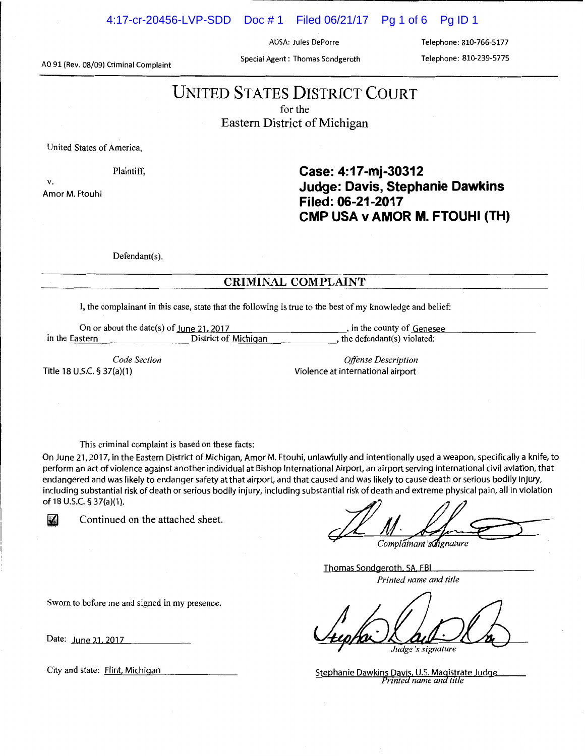4:17-cr-20456-LVP-SDD Doc # 1 Filed 06/21/17 Pg 1 of 6 Pg ID 1

AUSA: Jules DePorre

AO 91 (Rev. 08/09) Criminal Complaint Special Agent : Thomas Sondgeroth

Telephone: 810-766-5177 Telephone: 810-239-5775

UNITED STATES DISTRICT COURT

for the

Eastern District of Michigan

United States of America,

Plaintiff,

v. Amor M. Ftouhi

**Case: 4:17-mj-30312 Judge: Davis, Stephanie Dawkins Filed: 06-21-2017 CMP USA v AMOR M. FTOUHI (TH)** 

Defendant(s).

## CRIMINAL COMPLAINT

I, the complainant in this case, state that the following is true to the best of my knowledge and belief:

On or about the date(s) of <u>June 21, 2017</u> ... , in the county of <u>Genesee</u><br>in the Eastern District of Michigan , the defendant(s) violated: the defendant(s) violated:

*Code Section* 

Title 18 U.S.C. § 37(a)(1)

*Offense Description*  Violence at international airport

This criminal complaint is based on these facts:

On June 21, 2017, in the Eastern District of Michigan, Amor M. Ftouhi, unlawfully and intentionally used a weapon, specifically a knife, to perform an act of violence against another individual at Bishop International Airport, an airport serving international civil aviation, that endangered and was likely to endanger safety at that airport, and that caused and was likely to cause death or serious bodily injury, including substantial risk of death or serious bodily injury, including substantial risk of death and extreme physical pain, all in violation of 18 U.5.C. § 37(a)(1 ).



 $\Box$  Continued on the attached sheet.

Complainant's dignature

Thomas Sondgeroth. SA FBI *Printed name and title* 

Judge's signature

**Stephanie Dawkins Davis, U.S. Magistrate Judge**<br>*Printed name and title* 

Sworn to before me and signed in my presence.

Date: June 21, 2017

City and state: Flint, Michigan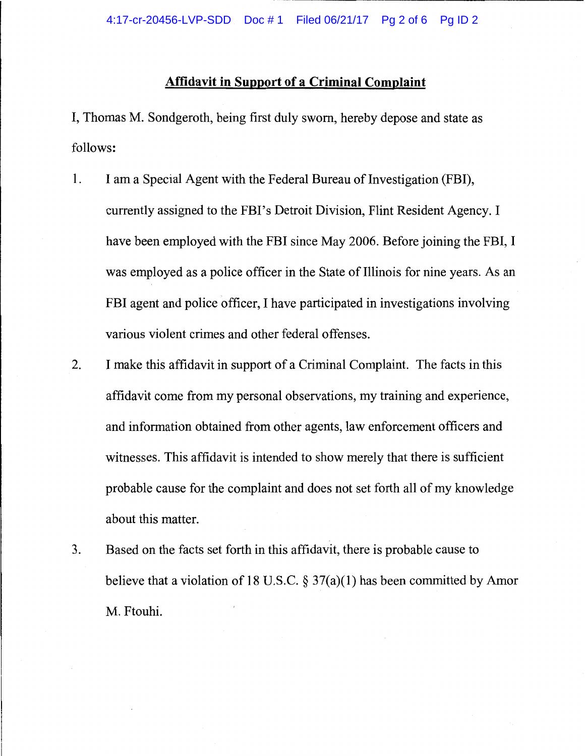## **Affidavit in Support of a Criminal Complaint**

I, Thomas M. Sondgeroth, being first duly sworn, hereby depose and state as follows:

- 1. I am a Special Agent with the Federal Bureau of Investigation (FBI), currently assigned to the FBI's Detroit Division, Flint Resident Agency. I have been employed with the FBI since May 2006. Before joining the FBI, I was employed as a police officer in the State of Illinois for nine years. As an FBI agent and police officer, I have participated in investigations involving various violent crimes and other federal offenses.
- 2. I make this affidavit in support of a Criminal Complaint. The facts in this affidavit come from my personal observations, my training and experience, and information obtained from other agents, law enforcement officers and witnesses. This affidavit is intended to show merely that there is sufficient probable cause for the complaint and does not set forth all of my knowledge about this matter.
- 3. Based on the facts set forth in this affidavit, there is probable cause to believe that a violation of 18 U.S.C.  $\S 37(a)(1)$  has been committed by Amor M. Ftouhi.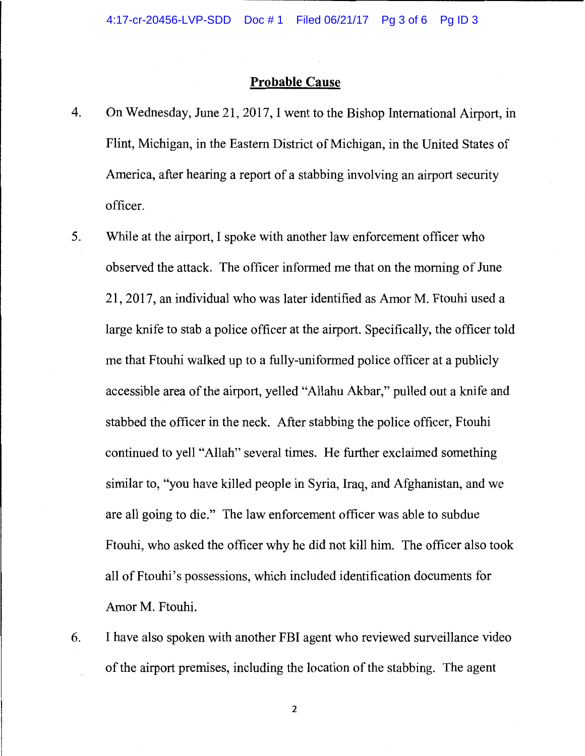## **Probable Cause**

- 4. On Wednesday, June 21, 2017, I went to the Bishop International Airport, in Flint, Michigan, in the Eastern District of Michigan, in the United States of America, after hearing a report of a stabbing involving an airport security officer.
- 5. While at the airport, I spoke with another law enforcement officer who observed the attack. The officer informed me that on the morning of June 21, 2017, an individual who was later identified as Amor M. Ftouhi used a large knife to stab a police officer at the airport. Specifically, the officer told me that Ftouhi walked up to a fully-uniformed police officer at a publicly accessible area of the airport, yelled "Allahu Akbar," pulled out a knife and stabbed the officer in the neck. After stabbing the police officer, Ftouhi continued to yell "Allah" several times. He further exclaimed something similar to, "you have killed people in Syria, Iraq, and Afghanistan, and we are all going to die." The law enforcement officer was able to subdue Ftouhi, who asked the officer why he did not kill him. The officer also took all of Ftouhi's possessions, which included identification documents for Amor M. Ftouhi.
- 6. I have also spoken with another FBI agent who reviewed surveillance video of the airport premises, including the location of the stabbing. The agent

2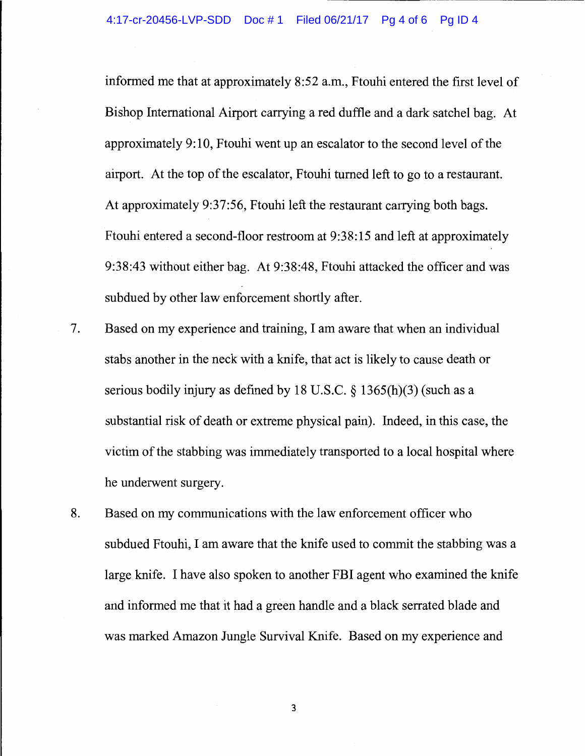informed me that at approximately 8:52 a.m., Ftouhi entered the first level of Bishop International Airport carrying a red duffle and a dark satchel bag. At approximately 9:10, Ftouhi went up an escalator to the second level of the airport. At the top of the escalator, Ftouhi turned left to go to a restaurant. At approximately 9:37:56, Ftouhi left the restaurant carrying both bags. Ftouhi entered a second-floor restroom at 9:38:15 and left at approximately 9:38:43 without either bag. At 9:38:48, Ftouhi attacked the officer and was subdued by other law enforcement shortly after.

- 7. Based on my experience and training, I am aware that when an individual stabs another in the neck with a knife, that act is likely to cause death or serious bodily injury as defined by 18 U.S.C. § 1365(h)(3) (such as a substantial risk of death or extreme physical pain). Indeed, in this case, the victim of the stabbing was immediately transported to a local hospital where he underwent surgery.
- 8. Based on my communications with the law enforcement officer who subdued Ftouhi, I am aware that the knife used to commit the stabbing was a large knife. I have also spoken to another FBI agent who examined the knife and informed me that it had a green handle and a black serrated blade and was marked Amazon Jungle Survival Knife. Based on my experience and

3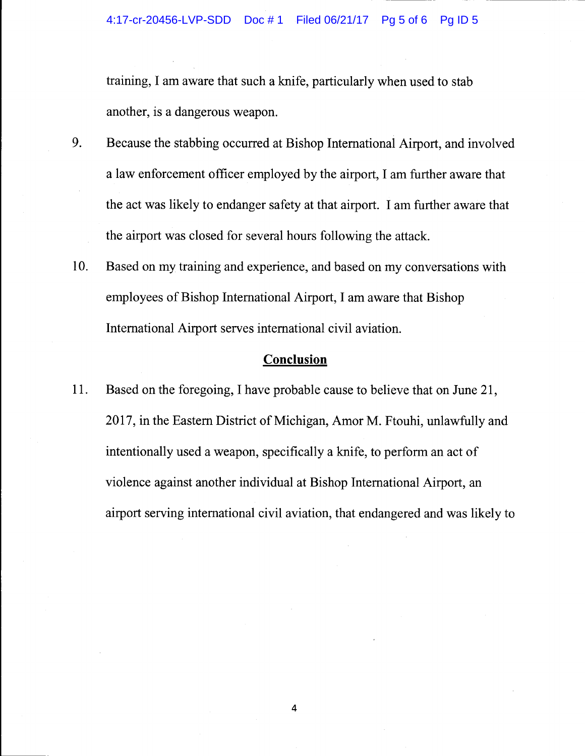training, I am aware that such a knife, particularly when used to stab another, is a dangerous weapon.

- 9. Because the stabbing occurred at Bishop International Airport, and involved a law enforcement officer employed by the airport, I am further aware that the act was likely to endanger safety at that airport. I am further aware that the airport was closed for several hours following the attack.
- 10. Based on my training and experience, and based on my conversations with employees of Bishop International Airport, I am aware that Bishop International Airport serves international civil aviation.

## **Conclusion**

11. Based on the foregoing, I have probable cause to believe that on June 21, 2017, in the Eastern District of Michigan, Amor M. Ftouhi, unlawfully and intentionally used a weapon, specifically a knife, to perform an act of violence against another individual at Bishop International Airport, an airport serving international civil aviation, that endangered and was likely to